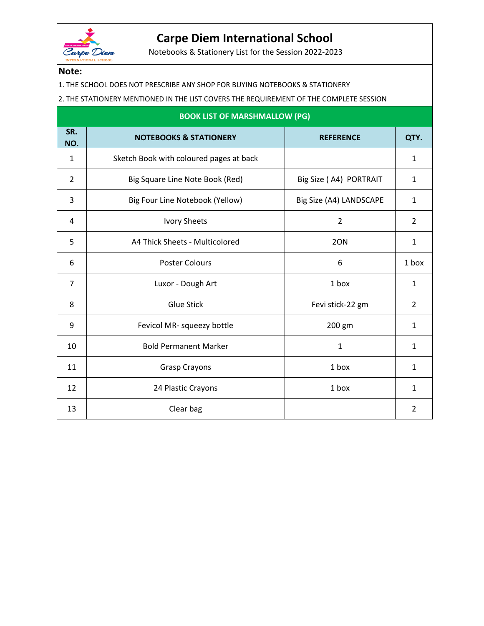

## **Carpe Diem International School**

Notebooks & Stationery List for the Session 2022-2023

## **Note:**

- 1. THE SCHOOL DOES NOT PRESCRIBE ANY SHOP FOR BUYING NOTEBOOKS & STATIONERY
- 2. THE STATIONERY MENTIONED IN THE LIST COVERS THE REQUIREMENT OF THE COMPLETE SESSION

| <b>BOOK LIST OF MARSHMALLOW (PG)</b> |                                         |                         |                |
|--------------------------------------|-----------------------------------------|-------------------------|----------------|
| SR.<br>NO.                           | <b>NOTEBOOKS &amp; STATIONERY</b>       | <b>REFERENCE</b>        | QTY.           |
| 1                                    | Sketch Book with coloured pages at back |                         | 1              |
| $\overline{2}$                       | Big Square Line Note Book (Red)         | Big Size (A4) PORTRAIT  | 1              |
| 3                                    | Big Four Line Notebook (Yellow)         | Big Size (A4) LANDSCAPE | 1              |
| 4                                    | <b>Ivory Sheets</b>                     | $\overline{2}$          | $\overline{2}$ |
| 5                                    | A4 Thick Sheets - Multicolored          | 2ON                     | 1              |
| 6                                    | <b>Poster Colours</b>                   | 6                       | 1 box          |
| $\overline{7}$                       | Luxor - Dough Art                       | 1 box                   | 1              |
| 8                                    | <b>Glue Stick</b>                       | Fevi stick-22 gm        | $\overline{2}$ |
| 9                                    | Fevicol MR- squeezy bottle              | 200 gm                  | 1              |
| 10                                   | <b>Bold Permanent Marker</b>            | $\mathbf 1$             | 1              |
| 11                                   | <b>Grasp Crayons</b>                    | 1 box                   | 1              |
| 12                                   | 24 Plastic Crayons                      | 1 box                   | 1              |
| 13                                   | Clear bag                               |                         | 2              |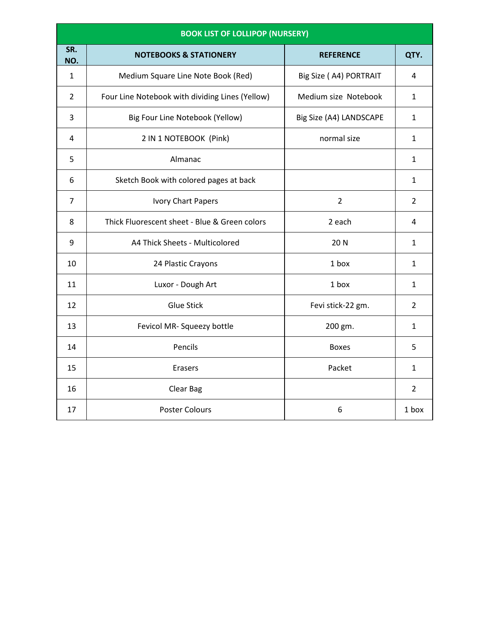| <b>BOOK LIST OF LOLLIPOP (NURSERY)</b> |                                                 |                         |                |
|----------------------------------------|-------------------------------------------------|-------------------------|----------------|
| SR.<br>NO.                             | <b>NOTEBOOKS &amp; STATIONERY</b>               | <b>REFERENCE</b>        | QTY.           |
| 1                                      | Medium Square Line Note Book (Red)              | Big Size (A4) PORTRAIT  | 4              |
| $\overline{2}$                         | Four Line Notebook with dividing Lines (Yellow) | Medium size Notebook    | 1              |
| 3                                      | Big Four Line Notebook (Yellow)                 | Big Size (A4) LANDSCAPE | 1              |
| 4                                      | 2 IN 1 NOTEBOOK (Pink)                          | normal size             | 1              |
| 5                                      | Almanac                                         |                         | 1              |
| 6                                      | Sketch Book with colored pages at back          |                         | 1              |
| $\overline{7}$                         | <b>Ivory Chart Papers</b>                       | $\overline{2}$          | $\overline{2}$ |
| 8                                      | Thick Fluorescent sheet - Blue & Green colors   | 2 each                  | 4              |
| 9                                      | A4 Thick Sheets - Multicolored                  | 20 N                    | 1              |
| 10                                     | 24 Plastic Crayons                              | 1 box                   | $\mathbf{1}$   |
| 11                                     | Luxor - Dough Art                               | 1 box                   | 1              |
| 12                                     | <b>Glue Stick</b>                               | Fevi stick-22 gm.       | $\overline{2}$ |
| 13                                     | Fevicol MR- Squeezy bottle                      | 200 gm.                 | $\mathbf{1}$   |
| 14                                     | Pencils                                         | <b>Boxes</b>            | 5              |
| 15                                     | <b>Erasers</b>                                  | Packet                  | $\mathbf{1}$   |
| 16                                     | Clear Bag                                       |                         | $\overline{2}$ |
| 17                                     | <b>Poster Colours</b>                           | 6                       | 1 box          |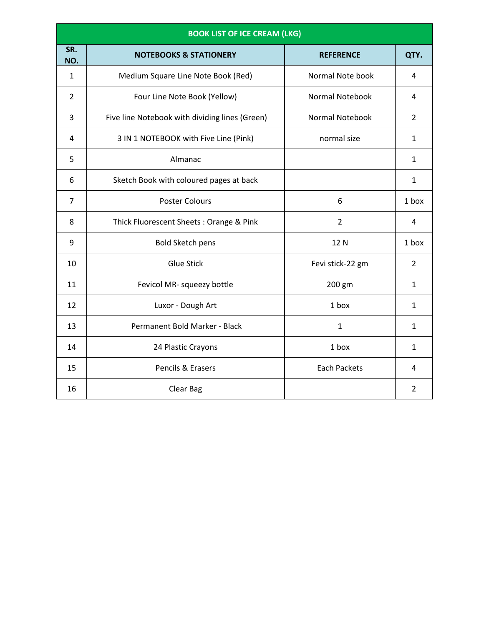|                | <b>BOOK LIST OF ICE CREAM (LKG)</b>            |                        |                |
|----------------|------------------------------------------------|------------------------|----------------|
| SR.<br>NO.     | <b>NOTEBOOKS &amp; STATIONERY</b>              | <b>REFERENCE</b>       | QTY.           |
| $\mathbf{1}$   | Medium Square Line Note Book (Red)             | Normal Note book       | 4              |
| $\overline{2}$ | Four Line Note Book (Yellow)                   | <b>Normal Notebook</b> | 4              |
| 3              | Five line Notebook with dividing lines (Green) | <b>Normal Notebook</b> | $\overline{2}$ |
| 4              | 3 IN 1 NOTEBOOK with Five Line (Pink)          | normal size            | $\mathbf{1}$   |
| 5              | Almanac                                        |                        | $\mathbf{1}$   |
| 6              | Sketch Book with coloured pages at back        |                        | $\mathbf{1}$   |
| 7              | <b>Poster Colours</b>                          | 6                      | 1 box          |
| 8              | Thick Fluorescent Sheets: Orange & Pink        | $\overline{2}$         | 4              |
| 9              | <b>Bold Sketch pens</b>                        | 12 N                   | 1 box          |
| 10             | <b>Glue Stick</b>                              | Fevi stick-22 gm       | $\overline{2}$ |
| 11             | Fevicol MR- squeezy bottle                     | 200 gm                 | $\mathbf{1}$   |
| 12             | Luxor - Dough Art                              | 1 box                  | $\mathbf{1}$   |
| 13             | Permanent Bold Marker - Black                  | $\mathbf{1}$           | $\mathbf{1}$   |
| 14             | 24 Plastic Crayons                             | 1 box                  | $\mathbf{1}$   |
| 15             | Pencils & Erasers                              | <b>Each Packets</b>    | 4              |
| 16             | Clear Bag                                      |                        | 2              |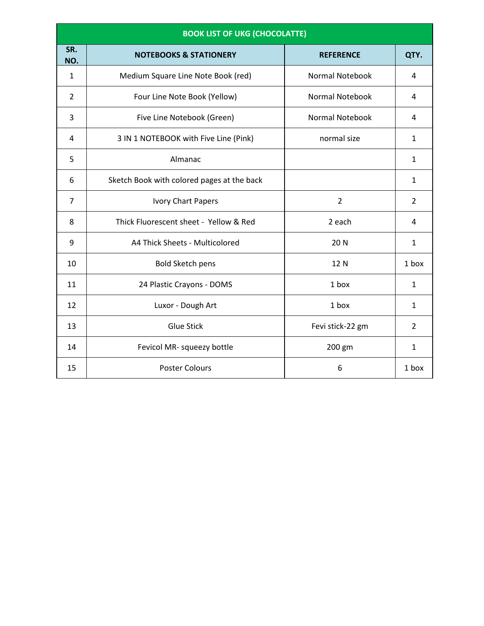|                | <b>BOOK LIST OF UKG (CHOCOLATTE)</b>       |                        |                |
|----------------|--------------------------------------------|------------------------|----------------|
| SR.<br>NO.     | <b>NOTEBOOKS &amp; STATIONERY</b>          | <b>REFERENCE</b>       | QTY.           |
| $\mathbf{1}$   | Medium Square Line Note Book (red)         | <b>Normal Notebook</b> | 4              |
| $\overline{2}$ | Four Line Note Book (Yellow)               | <b>Normal Notebook</b> | 4              |
| 3              | Five Line Notebook (Green)                 | <b>Normal Notebook</b> | 4              |
| 4              | 3 IN 1 NOTEBOOK with Five Line (Pink)      | normal size            | $\mathbf{1}$   |
| 5              | Almanac                                    |                        | $\mathbf{1}$   |
| 6              | Sketch Book with colored pages at the back |                        | $\mathbf{1}$   |
| $\overline{7}$ | Ivory Chart Papers                         | $\overline{2}$         | $\overline{2}$ |
| 8              | Thick Fluorescent sheet - Yellow & Red     | 2 each                 | 4              |
| 9              | A4 Thick Sheets - Multicolored             | 20 N                   | $\mathbf{1}$   |
| 10             | <b>Bold Sketch pens</b>                    | 12 N                   | 1 box          |
| 11             | 24 Plastic Crayons - DOMS                  | 1 box                  | $\mathbf{1}$   |
| 12             | Luxor - Dough Art                          | 1 box                  | $\mathbf{1}$   |
| 13             | <b>Glue Stick</b>                          | Fevi stick-22 gm       | $\overline{2}$ |
| 14             | Fevicol MR- squeezy bottle                 | 200 gm                 | $\mathbf{1}$   |
| 15             | <b>Poster Colours</b>                      | 6                      | 1 box          |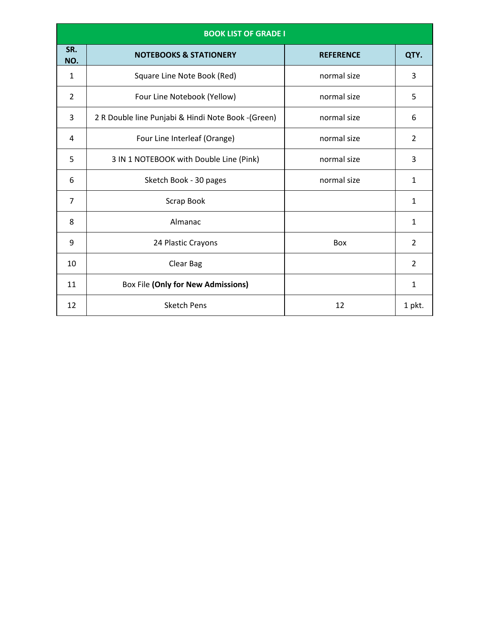|                | <b>BOOK LIST OF GRADE I</b>                        |                  |                |
|----------------|----------------------------------------------------|------------------|----------------|
| SR.<br>NO.     | <b>NOTEBOOKS &amp; STATIONERY</b>                  | <b>REFERENCE</b> | QTY.           |
| $\mathbf{1}$   | Square Line Note Book (Red)                        | normal size      | 3              |
| $\overline{2}$ | Four Line Notebook (Yellow)                        | normal size      | 5              |
| 3              | 2 R Double line Punjabi & Hindi Note Book -(Green) | normal size      | 6              |
| 4              | Four Line Interleaf (Orange)                       | normal size      | 2              |
| 5              | 3 IN 1 NOTEBOOK with Double Line (Pink)            | normal size      | 3              |
| 6              | Sketch Book - 30 pages                             | normal size      | $\mathbf{1}$   |
| $\overline{7}$ | Scrap Book                                         |                  | 1              |
| 8              | Almanac                                            |                  | $\mathbf{1}$   |
| 9              | 24 Plastic Crayons                                 | Box              | $\overline{2}$ |
| 10             | Clear Bag                                          |                  | $\overline{2}$ |
| 11             | <b>Box File (Only for New Admissions)</b>          |                  | 1              |
| 12             | <b>Sketch Pens</b>                                 | 12               | 1 pkt.         |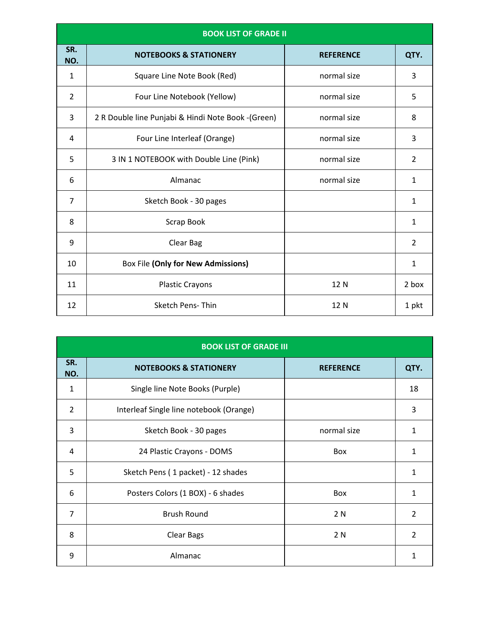|                | <b>BOOK LIST OF GRADE II</b>                       |                  |                |
|----------------|----------------------------------------------------|------------------|----------------|
| SR.<br>NO.     | <b>NOTEBOOKS &amp; STATIONERY</b>                  | <b>REFERENCE</b> | QTY.           |
| $\mathbf{1}$   | Square Line Note Book (Red)                        | normal size      | 3              |
| $\overline{2}$ | Four Line Notebook (Yellow)                        | normal size      | 5              |
| 3              | 2 R Double line Punjabi & Hindi Note Book -(Green) | normal size      | 8              |
| 4              | Four Line Interleaf (Orange)                       | normal size      | 3              |
| 5              | 3 IN 1 NOTEBOOK with Double Line (Pink)            | normal size      | $\overline{2}$ |
| 6              | Almanac                                            | normal size      | 1              |
| $\overline{7}$ | Sketch Book - 30 pages                             |                  | 1              |
| 8              | Scrap Book                                         |                  | $\mathbf{1}$   |
| 9              | Clear Bag                                          |                  | $\overline{2}$ |
| 10             | <b>Box File (Only for New Admissions)</b>          |                  | 1              |
| 11             | <b>Plastic Crayons</b>                             | 12 N             | 2 box          |
| 12             | <b>Sketch Pens-Thin</b>                            | 12 N             | 1 pkt          |

|                | <b>BOOK LIST OF GRADE III</b>           |                  |                |
|----------------|-----------------------------------------|------------------|----------------|
| SR.<br>NO.     | <b>NOTEBOOKS &amp; STATIONERY</b>       | <b>REFERENCE</b> | QTY.           |
| 1              | Single line Note Books (Purple)         |                  | 18             |
| 2              | Interleaf Single line notebook (Orange) |                  | 3              |
| 3              | Sketch Book - 30 pages                  | normal size      | 1              |
| 4              | 24 Plastic Crayons - DOMS               | Box              | 1              |
| 5              | Sketch Pens (1 packet) - 12 shades      |                  | 1              |
| 6              | Posters Colors (1 BOX) - 6 shades       | Box              | 1              |
| $\overline{7}$ | <b>Brush Round</b>                      | 2 N              | $\overline{2}$ |
| 8              | <b>Clear Bags</b>                       | 2 N              | $\overline{2}$ |
| 9              | Almanac                                 |                  | 1              |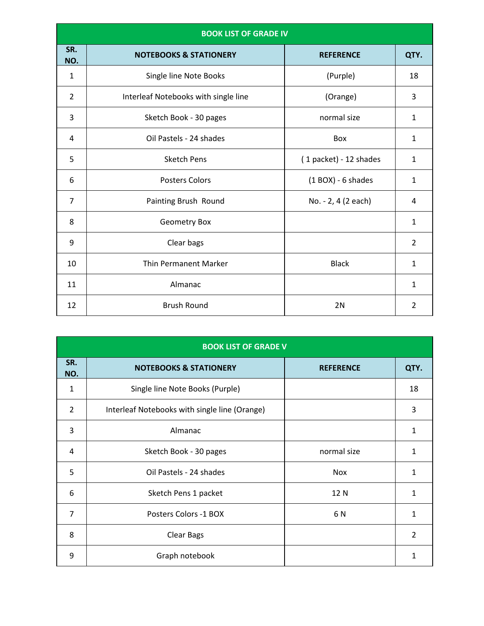|                | <b>BOOK LIST OF GRADE IV</b>         |                        |                |
|----------------|--------------------------------------|------------------------|----------------|
| SR.<br>NO.     | <b>NOTEBOOKS &amp; STATIONERY</b>    | <b>REFERENCE</b>       | QTY.           |
| $\mathbf{1}$   | Single line Note Books               | (Purple)               | 18             |
| $\overline{2}$ | Interleaf Notebooks with single line | (Orange)               | 3              |
| 3              | Sketch Book - 30 pages               | normal size            | 1              |
| 4              | Oil Pastels - 24 shades              | Box                    | $\mathbf{1}$   |
| 5              | <b>Sketch Pens</b>                   | (1 packet) - 12 shades | $\mathbf{1}$   |
| 6              | <b>Posters Colors</b>                | $(1$ BOX) - 6 shades   | $\mathbf{1}$   |
| $\overline{7}$ | Painting Brush Round                 | No. - 2, 4 (2 each)    | 4              |
| 8              | Geometry Box                         |                        | $\mathbf{1}$   |
| 9              | Clear bags                           |                        | $\overline{2}$ |
| 10             | <b>Thin Permanent Marker</b>         | <b>Black</b>           | 1              |
| 11             | Almanac                              |                        | $\mathbf{1}$   |
| 12             | <b>Brush Round</b>                   | 2N                     | 2              |

| <b>BOOK LIST OF GRADE V</b> |                                               |                  |              |
|-----------------------------|-----------------------------------------------|------------------|--------------|
| SR.<br>NO.                  | <b>NOTEBOOKS &amp; STATIONERY</b>             | <b>REFERENCE</b> | QTY.         |
| 1                           | Single line Note Books (Purple)               |                  | 18           |
| $\overline{2}$              | Interleaf Notebooks with single line (Orange) |                  | 3            |
| 3                           | Almanac                                       |                  | 1            |
| 4                           | Sketch Book - 30 pages                        | normal size      | 1            |
| 5                           | Oil Pastels - 24 shades                       | <b>Nox</b>       | 1            |
| 6                           | Sketch Pens 1 packet                          | 12N              | $\mathbf{1}$ |
| $\overline{7}$              | Posters Colors -1 BOX                         | 6N               | 1            |
| 8                           | <b>Clear Bags</b>                             |                  | 2            |
| 9                           | Graph notebook                                |                  | 1            |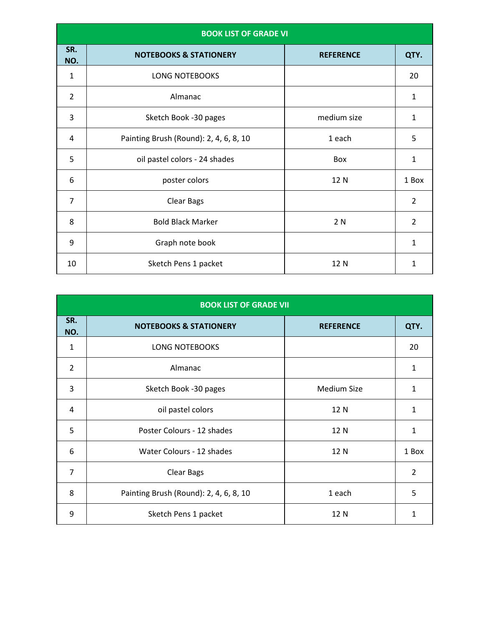| <b>BOOK LIST OF GRADE VI</b> |                                        |                  |                |
|------------------------------|----------------------------------------|------------------|----------------|
| SR.<br>NO.                   | <b>NOTEBOOKS &amp; STATIONERY</b>      | <b>REFERENCE</b> | QTY.           |
| $\mathbf{1}$                 | <b>LONG NOTEBOOKS</b>                  |                  | 20             |
| $\overline{2}$               | Almanac                                |                  | 1              |
| 3                            | Sketch Book -30 pages                  | medium size      | $\mathbf{1}$   |
| 4                            | Painting Brush (Round): 2, 4, 6, 8, 10 | 1 each           | 5              |
| 5                            | oil pastel colors - 24 shades          | Box              | $\mathbf{1}$   |
| 6                            | poster colors                          | 12 N             | 1 Box          |
| $\overline{7}$               | Clear Bags                             |                  | $\overline{2}$ |
| 8                            | <b>Bold Black Marker</b>               | 2 N              | $\overline{2}$ |
| 9                            | Graph note book                        |                  | $\mathbf{1}$   |
| 10                           | Sketch Pens 1 packet                   | 12 N             | 1              |

|                | <b>BOOK LIST OF GRADE VII</b>          |                    |                |  |
|----------------|----------------------------------------|--------------------|----------------|--|
| SR.<br>NO.     | <b>NOTEBOOKS &amp; STATIONERY</b>      | <b>REFERENCE</b>   | QTY.           |  |
| $\mathbf{1}$   | <b>LONG NOTEBOOKS</b>                  |                    | 20             |  |
| $\overline{2}$ | Almanac                                |                    | 1              |  |
| 3              | Sketch Book -30 pages                  | <b>Medium Size</b> | 1              |  |
| 4              | oil pastel colors                      | 12 N               | 1              |  |
| 5              | Poster Colours - 12 shades             | 12 N               | 1              |  |
| 6              | Water Colours - 12 shades              | 12 N               | 1 Box          |  |
| $\overline{7}$ | Clear Bags                             |                    | $\overline{2}$ |  |
| 8              | Painting Brush (Round): 2, 4, 6, 8, 10 | 1 each             | 5              |  |
| 9              | Sketch Pens 1 packet                   | 12 N               | 1              |  |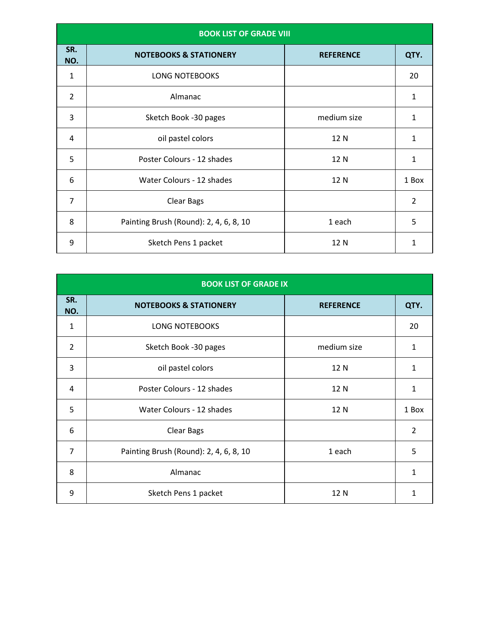| <b>BOOK LIST OF GRADE VIII</b> |                                        |                  |                |
|--------------------------------|----------------------------------------|------------------|----------------|
| SR.<br>NO.                     | <b>NOTEBOOKS &amp; STATIONERY</b>      | <b>REFERENCE</b> | QTY.           |
| $\mathbf{1}$                   | <b>LONG NOTEBOOKS</b>                  |                  | 20             |
| $\overline{2}$                 | Almanac                                |                  | 1              |
| 3                              | Sketch Book -30 pages                  | medium size      | 1              |
| 4                              | oil pastel colors                      | 12N              | 1              |
| 5                              | Poster Colours - 12 shades             | 12N              | 1              |
| 6                              | Water Colours - 12 shades              | 12N              | 1 Box          |
| $\overline{7}$                 | <b>Clear Bags</b>                      |                  | $\overline{2}$ |
| 8                              | Painting Brush (Round): 2, 4, 6, 8, 10 | 1 each           | 5              |
| 9                              | Sketch Pens 1 packet                   | 12 N             | 1              |

| <b>BOOK LIST OF GRADE IX</b> |                                        |                  |                |  |
|------------------------------|----------------------------------------|------------------|----------------|--|
| SR.<br>NO.                   | <b>NOTEBOOKS &amp; STATIONERY</b>      | <b>REFERENCE</b> | QTY.           |  |
| $\mathbf{1}$                 | LONG NOTEBOOKS                         |                  | 20             |  |
| $\overline{2}$               | Sketch Book -30 pages                  | medium size      | 1              |  |
| 3                            | oil pastel colors                      | 12 N             | 1              |  |
| 4                            | Poster Colours - 12 shades             | 12 N             | 1              |  |
| 5                            | Water Colours - 12 shades              | 12 N             | 1 Box          |  |
| 6                            | <b>Clear Bags</b>                      |                  | $\overline{2}$ |  |
| $\overline{7}$               | Painting Brush (Round): 2, 4, 6, 8, 10 | 1 each           | 5              |  |
| 8                            | Almanac                                |                  | $\mathbf{1}$   |  |
| 9                            | Sketch Pens 1 packet                   | 12 N             | 1              |  |